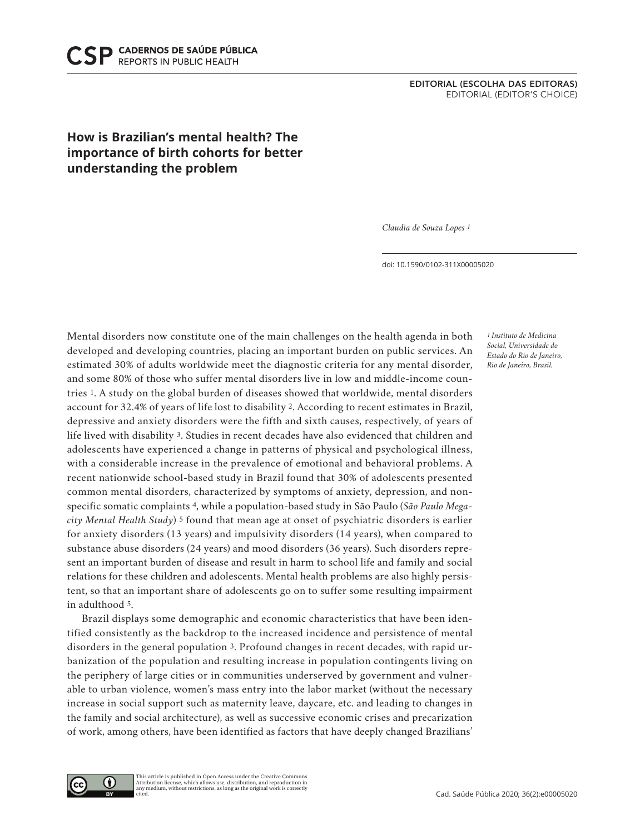## **How is Brazilian's mental health? The importance of birth cohorts for better understanding the problem**

*Claudia de Souza Lopes 1*

doi: 10.1590/0102-311X00005020

Mental disorders now constitute one of the main challenges on the health agenda in both developed and developing countries, placing an important burden on public services. An estimated 30% of adults worldwide meet the diagnostic criteria for any mental disorder, and some 80% of those who suffer mental disorders live in low and middle-income countries 1. A study on the global burden of diseases showed that worldwide, mental disorders account for 32.4% of years of life lost to disability 2. According to recent estimates in Brazil, depressive and anxiety disorders were the fifth and sixth causes, respectively, of years of life lived with disability 3. Studies in recent decades have also evidenced that children and adolescents have experienced a change in patterns of physical and psychological illness, with a considerable increase in the prevalence of emotional and behavioral problems. A recent nationwide school-based study in Brazil found that 30% of adolescents presented common mental disorders, characterized by symptoms of anxiety, depression, and nonspecific somatic complaints 4, while a population-based study in São Paulo (*São Paulo Megacity Mental Health Study*) 5 found that mean age at onset of psychiatric disorders is earlier for anxiety disorders (13 years) and impulsivity disorders (14 years), when compared to substance abuse disorders (24 years) and mood disorders (36 years). Such disorders represent an important burden of disease and result in harm to school life and family and social relations for these children and adolescents. Mental health problems are also highly persistent, so that an important share of adolescents go on to suffer some resulting impairment in adulthood 5.

Brazil displays some demographic and economic characteristics that have been identified consistently as the backdrop to the increased incidence and persistence of mental disorders in the general population 3. Profound changes in recent decades, with rapid urbanization of the population and resulting increase in population contingents living on the periphery of large cities or in communities underserved by government and vulnerable to urban violence, women's mass entry into the labor market (without the necessary increase in social support such as maternity leave, daycare, etc. and leading to changes in the family and social architecture), as well as successive economic crises and precarization of work, among others, have been identified as factors that have deeply changed Brazilians'

*1 Instituto de Medicina Social, Universidade do Estado do Rio de Janeiro, Rio de Janeiro, Brasil.*

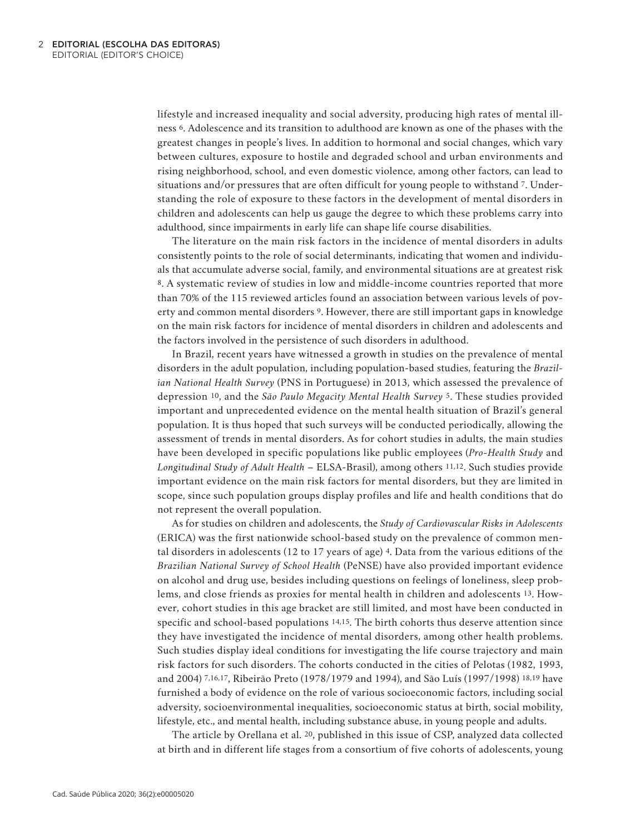lifestyle and increased inequality and social adversity, producing high rates of mental illness 6. Adolescence and its transition to adulthood are known as one of the phases with the greatest changes in people's lives. In addition to hormonal and social changes, which vary between cultures, exposure to hostile and degraded school and urban environments and rising neighborhood, school, and even domestic violence, among other factors, can lead to situations and/or pressures that are often difficult for young people to withstand 7. Understanding the role of exposure to these factors in the development of mental disorders in children and adolescents can help us gauge the degree to which these problems carry into adulthood, since impairments in early life can shape life course disabilities.

The literature on the main risk factors in the incidence of mental disorders in adults consistently points to the role of social determinants, indicating that women and individuals that accumulate adverse social, family, and environmental situations are at greatest risk 8. A systematic review of studies in low and middle-income countries reported that more than 70% of the 115 reviewed articles found an association between various levels of poverty and common mental disorders 9. However, there are still important gaps in knowledge on the main risk factors for incidence of mental disorders in children and adolescents and the factors involved in the persistence of such disorders in adulthood.

In Brazil, recent years have witnessed a growth in studies on the prevalence of mental disorders in the adult population, including population-based studies, featuring the *Brazilian National Health Survey* (PNS in Portuguese) in 2013, which assessed the prevalence of depression 10, and the *São Paulo Megacity Mental Health Survey* 5. These studies provided important and unprecedented evidence on the mental health situation of Brazil's general population. It is thus hoped that such surveys will be conducted periodically, allowing the assessment of trends in mental disorders. As for cohort studies in adults, the main studies have been developed in specific populations like public employees (*Pro-Health Study* and *Longitudinal Study of Adult Health* – ELSA-Brasil), among others 11,12. Such studies provide important evidence on the main risk factors for mental disorders, but they are limited in scope, since such population groups display profiles and life and health conditions that do not represent the overall population.

As for studies on children and adolescents, the *Study of Cardiovascular Risks in Adolescents* (ERICA) was the first nationwide school-based study on the prevalence of common mental disorders in adolescents (12 to 17 years of age) 4. Data from the various editions of the *Brazilian National Survey of School Health* (PeNSE) have also provided important evidence on alcohol and drug use, besides including questions on feelings of loneliness, sleep problems, and close friends as proxies for mental health in children and adolescents 13. However, cohort studies in this age bracket are still limited, and most have been conducted in specific and school-based populations 14,15. The birth cohorts thus deserve attention since they have investigated the incidence of mental disorders, among other health problems. Such studies display ideal conditions for investigating the life course trajectory and main risk factors for such disorders. The cohorts conducted in the cities of Pelotas (1982, 1993, and 2004) 7,16,17, Ribeirão Preto (1978/1979 and 1994), and São Luís (1997/1998) 18,19 have furnished a body of evidence on the role of various socioeconomic factors, including social adversity, socioenvironmental inequalities, socioeconomic status at birth, social mobility, lifestyle, etc., and mental health, including substance abuse, in young people and adults.

The article by Orellana et al. 20, published in this issue of CSP, analyzed data collected at birth and in different life stages from a consortium of five cohorts of adolescents, young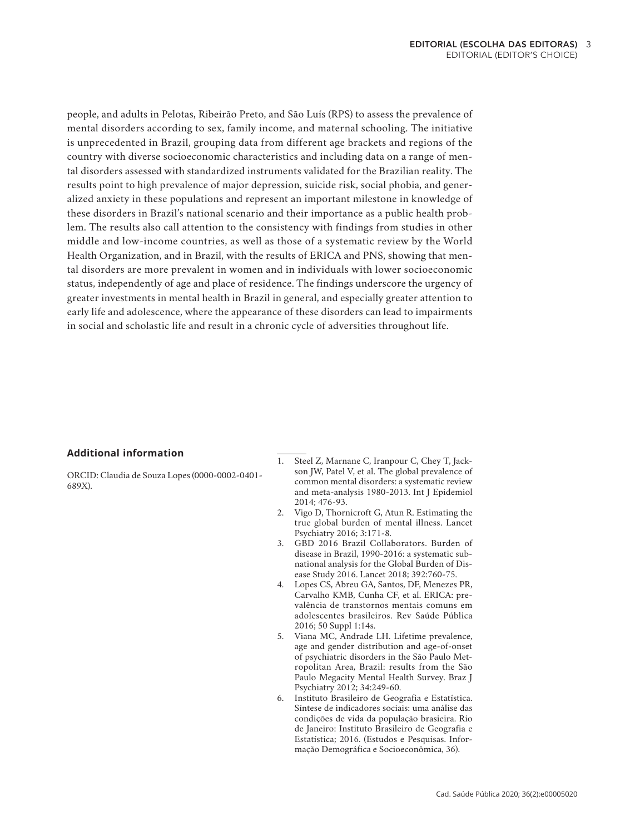people, and adults in Pelotas, Ribeirão Preto, and São Luís (RPS) to assess the prevalence of mental disorders according to sex, family income, and maternal schooling. The initiative is unprecedented in Brazil, grouping data from different age brackets and regions of the country with diverse socioeconomic characteristics and including data on a range of mental disorders assessed with standardized instruments validated for the Brazilian reality. The results point to high prevalence of major depression, suicide risk, social phobia, and generalized anxiety in these populations and represent an important milestone in knowledge of these disorders in Brazil's national scenario and their importance as a public health problem. The results also call attention to the consistency with findings from studies in other middle and low-income countries, as well as those of a systematic review by the World Health Organization, and in Brazil, with the results of ERICA and PNS, showing that mental disorders are more prevalent in women and in individuals with lower socioeconomic status, independently of age and place of residence. The findings underscore the urgency of greater investments in mental health in Brazil in general, and especially greater attention to early life and adolescence, where the appearance of these disorders can lead to impairments in social and scholastic life and result in a chronic cycle of adversities throughout life.

## **Additional information**

ORCID: Claudia de Souza Lopes (0000-0002-0401- 689X).

- 1. Steel Z, Marnane C, Iranpour C, Chey T, Jackson JW, Patel V, et al. The global prevalence of common mental disorders: a systematic review and meta-analysis 1980-2013. Int J Epidemiol 2014; 476-93.
- 2. Vigo D, Thornicroft G, Atun R. Estimating the true global burden of mental illness. Lancet Psychiatry 2016; 3:171-8.
- 3. GBD 2016 Brazil Collaborators. Burden of disease in Brazil, 1990-2016: a systematic subnational analysis for the Global Burden of Disease Study 2016. Lancet 2018; 392:760-75.
- 4. Lopes CS, Abreu GA, Santos, DF, Menezes PR, Carvalho KMB, Cunha CF, et al. ERICA: prevalência de transtornos mentais comuns em adolescentes brasileiros. Rev Saúde Pública 2016; 50 Suppl 1:14s.
- 5. Viana MC, Andrade LH. Lifetime prevalence, age and gender distribution and age-of-onset of psychiatric disorders in the São Paulo Metropolitan Area, Brazil: results from the São Paulo Megacity Mental Health Survey. Braz J Psychiatry 2012; 34:249-60.
- 6. Instituto Brasileiro de Geografia e Estatística. Síntese de indicadores sociais: uma análise das condições de vida da população brasieira. Rio de Janeiro: Instituto Brasileiro de Geografia e Estatística; 2016. (Estudos e Pesquisas. Informação Demográfica e Socioeconômica, 36).